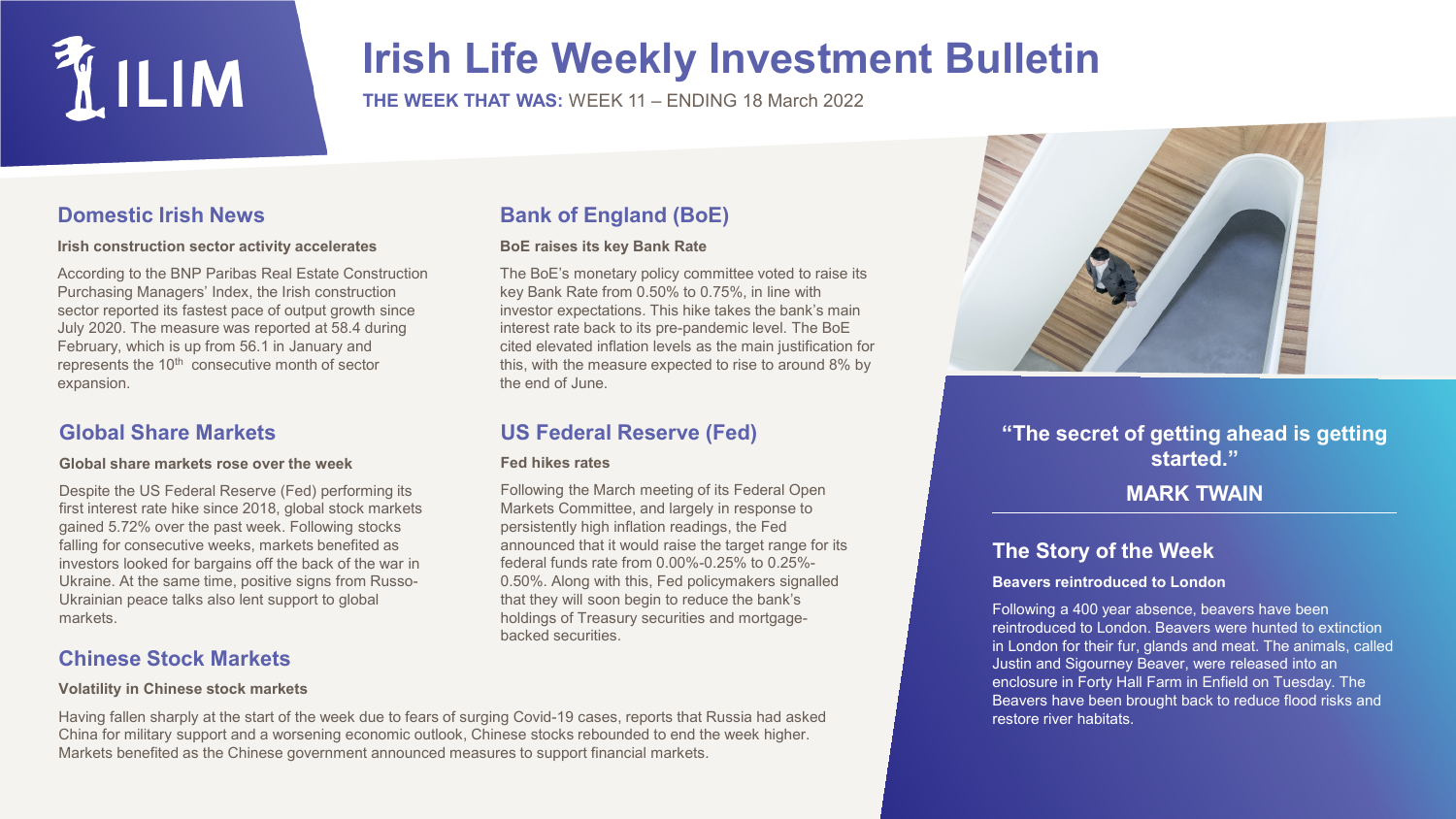

## **Irish Life Weekly Investment Bulletin**

**THE WEEK THAT WAS:** WEEK 11 – ENDING 18 March 2022

## **Domestic Irish News**

#### **Irish construction sector activity accelerates**

According to the BNP Paribas Real Estate Construction Purchasing Managers' Index, the Irish construction sector reported its fastest pace of output growth since July 2020. The measure was reported at 58.4 during February, which is up from 56.1 in January and represents the 10<sup>th</sup> consecutive month of sector expansion.

### **Global Share Markets**

#### **Global share markets rose over the week**

Despite the US Federal Reserve (Fed) performing its first interest rate hike since 2018, global stock markets gained 5.72% over the past week. Following stocks falling for consecutive weeks, markets benefited as investors looked for bargains off the back of the war in Ukraine. At the same time, positive signs from Russo-Ukrainian peace talks also lent support to global markets.

## **Chinese Stock Markets**

#### **Volatility in Chinese stock markets**

#### Having fallen sharply at the start of the week due to fears of surging Covid-19 cases, reports that Russia had asked China for military support and a worsening economic outlook, Chinese stocks rebounded to end the week higher. Markets benefited as the Chinese government announced measures to support financial markets.

## **Bank of England (BoE)**

#### **BoE raises its key Bank Rate**

The BoE's monetary policy committee voted to raise its key Bank Rate from 0.50% to 0.75%, in line with investor expectations. This hike takes the bank's main interest rate back to its pre-pandemic level. The BoE cited elevated inflation levels as the main justification for this, with the measure expected to rise to around 8% by the end of June.

## **US Federal Reserve (Fed)**

#### **Fed hikes rates**

Following the March meeting of its Federal Open Markets Committee, and largely in response to persistently high inflation readings, the Fed announced that it would raise the target range for its federal funds rate from 0.00%-0.25% to 0.25%- 0.50%. Along with this, Fed policymakers signalled that they will soon begin to reduce the bank's holdings of Treasury securities and mortgagebacked securities.



## **"The secret of getting ahead is getting started."**

## **MARK TWAIN**

## **The Story of the Week**

#### **Beavers reintroduced to London**

Following a 400 year absence, beavers have been reintroduced to London. Beavers were hunted to extinction in London for their fur, glands and meat. The animals, called Justin and Sigourney Beaver, were released into an enclosure in Forty Hall Farm in Enfield on Tuesday. The Beavers have been brought back to reduce flood risks and restore river habitats.